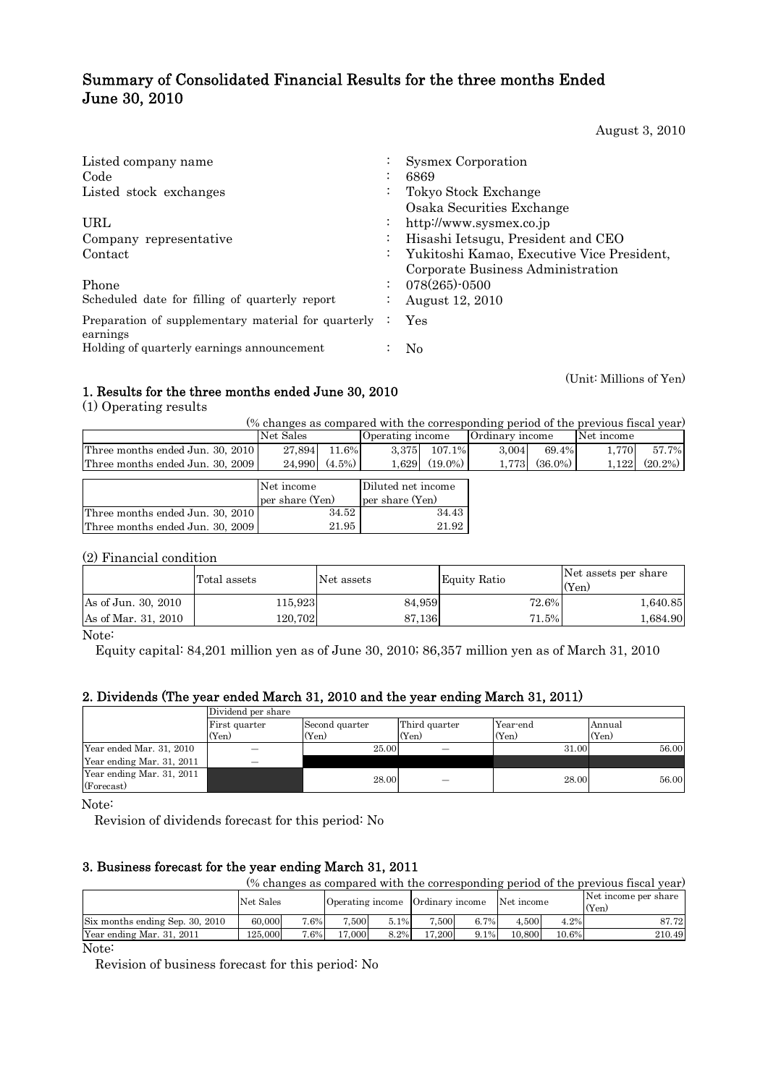# Summary of Consolidated Financial Results for the three months Ended June 30, 2010

August 3, 2010

| Listed company name<br>Code                                     | $\bullet$            | Sysmex Corporation<br>6869                                                      |
|-----------------------------------------------------------------|----------------------|---------------------------------------------------------------------------------|
| Listed stock exchanges                                          | $\cdot$<br>$\bullet$ | Tokyo Stock Exchange                                                            |
| URL                                                             | $\bullet$            | Osaka Securities Exchange<br>http://www.sysmex.co.jp                            |
| Company representative                                          | $\bullet$            | Hisashi Ietsugu, President and CEO                                              |
| Contact                                                         | $\ddot{\phantom{0}}$ | Yukitoshi Kamao, Executive Vice President,<br>Corporate Business Administration |
| Phone                                                           | $\cdot$              | $078(265)$ -0500                                                                |
| Scheduled date for filling of quarterly report                  | $\bullet$            | August 12, 2010                                                                 |
| Preparation of supplementary material for quarterly<br>earnings |                      | Yes                                                                             |
| Holding of quarterly earnings announcement                      |                      | No                                                                              |

(Unit: Millions of Yen)

## 1. Results for the three months ended June 30, 2010

(1) Operating results

(% changes as compared with the corresponding period of the previous fiscal year)

|                                  | Net Sales |                       | Operating income |            | Ordinary income |              | Net income |                    |
|----------------------------------|-----------|-----------------------|------------------|------------|-----------------|--------------|------------|--------------------|
| Three months ended Jun. 30, 2010 | 27.894    | 11.6%                 | 3.375            | 107.1%     | 3.004           | 69.4%        | .770       | 57.7%              |
| Three months ended Jun. 30, 2009 |           | $24.990 \mid (4.5\%)$ | .629             | $(19.0\%)$ | 1.773           | $(36.0\%)$ 1 |            | $1.122$ $(20.2\%)$ |
|                                  |           |                       |                  |            |                 |              |            |                    |

|                                  | Net income      | Diluted net income |  |
|----------------------------------|-----------------|--------------------|--|
|                                  | per share (Yen) | per share (Yen)    |  |
| Three months ended Jun. 30, 2010 | 34.52           | 34.43              |  |
| Three months ended Jun. 30, 2009 | 21.95           | 21.92              |  |

(2) Financial condition

|                     | Total assets | Net assets | Equity Ratio | Net assets per share<br>(Yen) |
|---------------------|--------------|------------|--------------|-------------------------------|
| As of Jun. 30, 2010 | 115.9231     | 84,959     | 72.6%        | 1,640.85                      |
| As of Mar. 31, 2010 | 120.7021     | 87.136     | 71.5%        | 1,684.90                      |

Note:

Equity capital: 84,201 million yen as of June 30, 2010; 86,357 million yen as of March 31, 2010

## 2. Dividends (The year ended March 31, 2010 and the year ending March 31, 2011)

|                                         | Dividend per share |                |               |          |        |  |  |
|-----------------------------------------|--------------------|----------------|---------------|----------|--------|--|--|
|                                         | First quarter      | Second quarter | Third quarter | Year-end | Annual |  |  |
|                                         | (Yen)              | (Yen)          | (Yen)         | (Yen)    | (Yen)  |  |  |
| Year ended Mar. 31, 2010                |                    | 25.00          |               | 31.00    | 56.00  |  |  |
| Year ending Mar. 31, 2011               |                    |                |               |          |        |  |  |
| Year ending Mar. 31, 2011<br>(Forecast) |                    | 28.00          |               | 28.00    | 56.00  |  |  |

Note:

Revision of dividends forecast for this period: No

## 3. Business forecast for the year ending March 31, 2011

| (% changes as compared with the corresponding period of the previous fiscal year) |           |      |                                  |      |        |         |            |       |                               |  |
|-----------------------------------------------------------------------------------|-----------|------|----------------------------------|------|--------|---------|------------|-------|-------------------------------|--|
|                                                                                   | Net Sales |      | Operating income Ordinary income |      |        |         | Net income |       | Net income per share<br>(Yen) |  |
| Six months ending Sep. 30, 2010                                                   | 60,000    | 7.6% | .500                             | 5.1% | 7.500  | 6.7%    | 4.500      | 4.2%  | 87.72                         |  |
| Year ending Mar. 31, 2011                                                         | 125.000   | 7.6% | 17.000                           | 8.2% | 17.200 | $9.1\%$ | 10.800     | 10.6% | 210.49                        |  |

Note:

Revision of business forecast for this period: No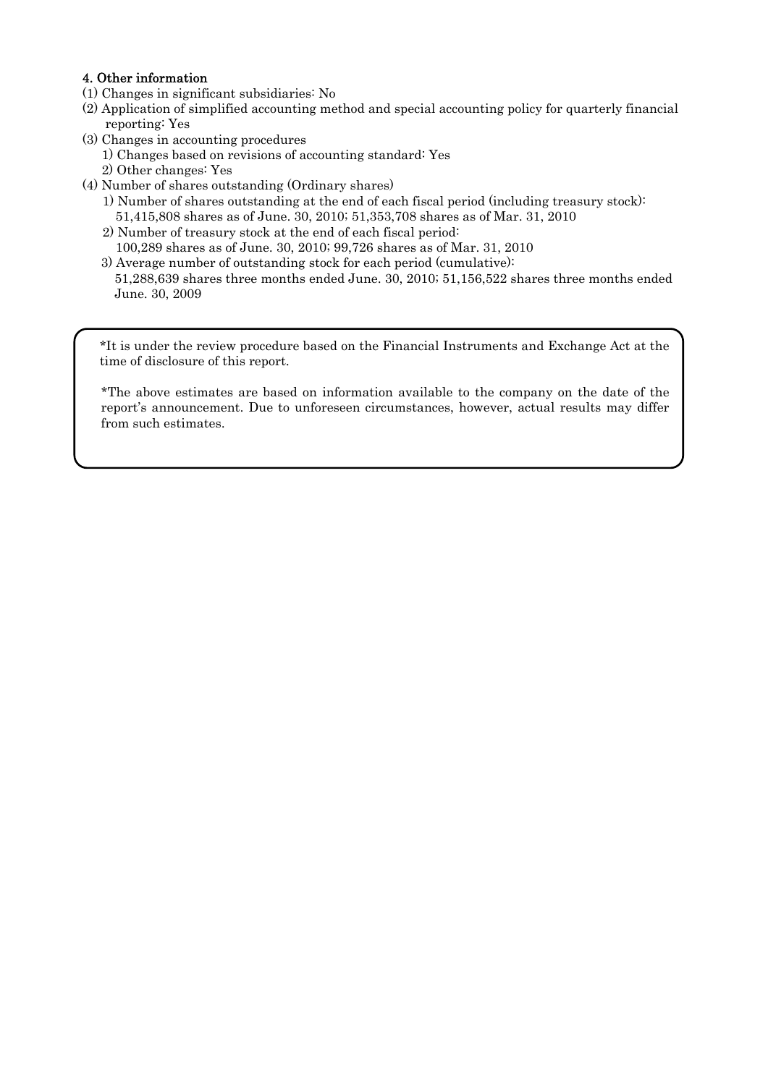## 4. Other information

- (1) Changes in significant subsidiaries: No
- (2) Application of simplified accounting method and special accounting policy for quarterly financial reporting: Yes
- (3) Changes in accounting procedures
	- 1) Changes based on revisions of accounting standard: Yes
	- 2) Other changes: Yes
- (4) Number of shares outstanding (Ordinary shares)
	- 1) Number of shares outstanding at the end of each fiscal period (including treasury stock): 51,415,808 shares as of June. 30, 2010; 51,353,708 shares as of Mar. 31, 2010
	- 2) Number of treasury stock at the end of each fiscal period: 100,289 shares as of June. 30, 2010; 99,726 shares as of Mar. 31, 2010
	- 3) Average number of outstanding stock for each period (cumulative): 51,288,639 shares three months ended June. 30, 2010; 51,156,522 shares three months ended June. 30, 2009

\*It is under the review procedure based on the Financial Instruments and Exchange Act at the time of disclosure of this report.

\*The above estimates are based on information available to the company on the date of the report's announcement. Due to unforeseen circumstances, however, actual results may differ from such estimates.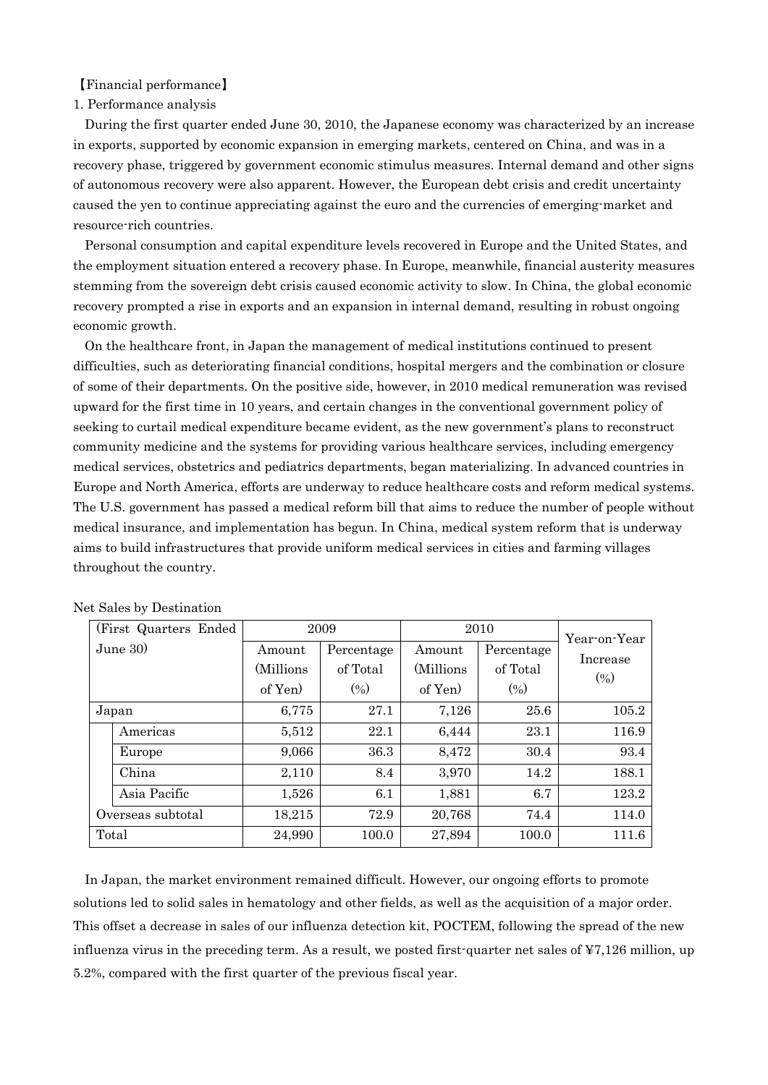【Financial performance】

### 1. Performance analysis

During the first quarter ended June 30, 2010, the Japanese economy was characterized by an increase in exports, supported by economic expansion in emerging markets, centered on China, and was in a recovery phase, triggered by government economic stimulus measures. Internal demand and other signs of autonomous recovery were also apparent. However, the European debt crisis and credit uncertainty caused the yen to continue appreciating against the euro and the currencies of emerging-market and resource-rich countries.

Personal consumption and capital expenditure levels recovered in Europe and the United States, and the employment situation entered a recovery phase. In Europe, meanwhile, financial austerity measures stemming from the sovereign debt crisis caused economic activity to slow. In China, the global economic recovery prompted a rise in exports and an expansion in internal demand, resulting in robust ongoing economic growth.

On the healthcare front, in Japan the management of medical institutions continued to present difficulties, such as deteriorating financial conditions, hospital mergers and the combination or closure of some of their departments. On the positive side, however, in 2010 medical remuneration was revised upward for the first time in 10 years, and certain changes in the conventional government policy of seeking to curtail medical expenditure became evident, as the new government's plans to reconstruct community medicine and the systems for providing various healthcare services, including emergency medical services, obstetrics and pediatrics departments, began materializing. In advanced countries in Europe and North America, efforts are underway to reduce healthcare costs and reform medical systems. The U.S. government has passed a medical reform bill that aims to reduce the number of people without medical insurance, and implementation has begun. In China, medical system reform that is underway aims to build infrastructures that provide uniform medical services in cities and farming villages throughout the country.

| (First Quarters Ended) |                   |            | 2009       | 2010       | Year-on-Year |          |  |
|------------------------|-------------------|------------|------------|------------|--------------|----------|--|
|                        | June $30$         | Amount     | Percentage | Amount     | Percentage   |          |  |
|                        |                   | (Millions) | of Total   | (Millions) | of Total     | Increase |  |
|                        |                   | of Yen)    | $(\% )$    | of Yen)    | (0/0)        | (0/0)    |  |
|                        | Japan             | 6,775      | 27.1       | 7,126      | 25.6         | 105.2    |  |
|                        | Americas          | 5,512      | 22.1       | 6,444      | 23.1         | 116.9    |  |
|                        | Europe            | 9,066      | 36.3       | 8,472      | 30.4         | 93.4     |  |
|                        | China             | 2,110      | 8.4        | 3,970      | 14.2         | 188.1    |  |
|                        | Asia Pacific      | 1,526      | 6.1        | 1,881      | 6.7          | 123.2    |  |
|                        | Overseas subtotal | 18,215     | 72.9       | 20,768     | 74.4         | 114.0    |  |
| Total                  |                   | 24,990     | 100.0      | 27,894     | 100.0        | 111.6    |  |

Net Sales by Destination

In Japan, the market environment remained difficult. However, our ongoing efforts to promote solutions led to solid sales in hematology and other fields, as well as the acquisition of a major order. This offset a decrease in sales of our influenza detection kit, POCTEM, following the spread of the new influenza virus in the preceding term. As a result, we posted first-quarter net sales of  $\frac{47}{126}$  million, up 5.2%, compared with the first quarter of the previous fiscal year.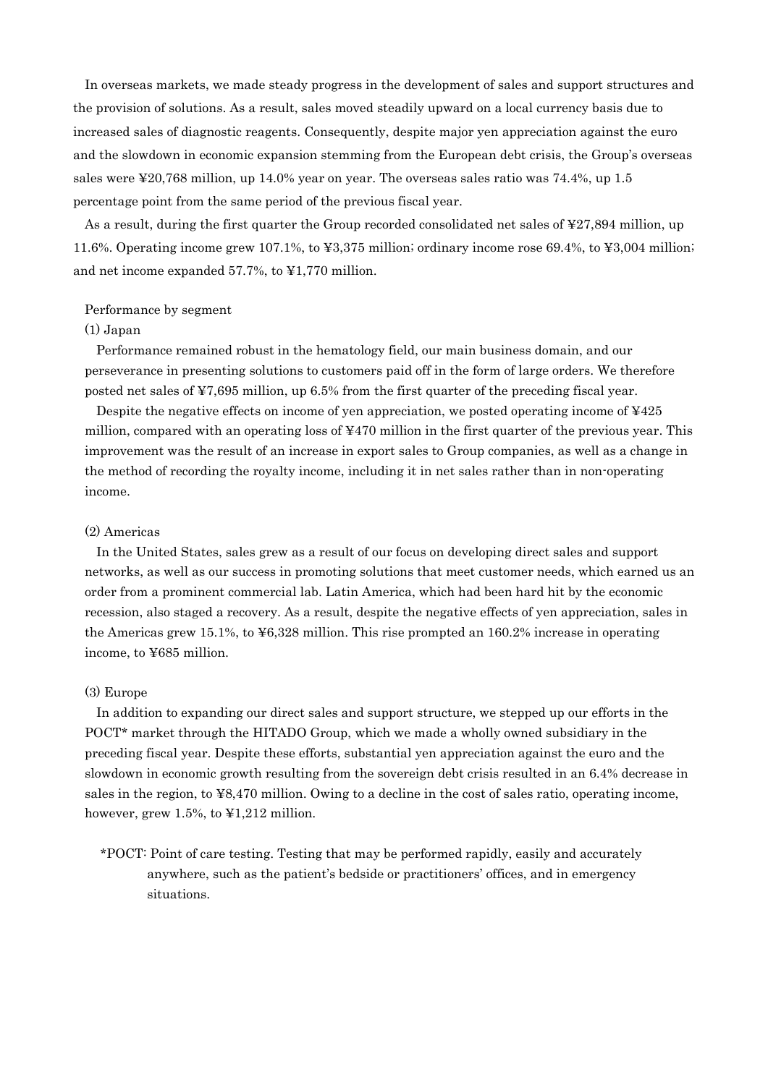In overseas markets, we made steady progress in the development of sales and support structures and the provision of solutions. As a result, sales moved steadily upward on a local currency basis due to increased sales of diagnostic reagents. Consequently, despite major yen appreciation against the euro and the slowdown in economic expansion stemming from the European debt crisis, the Group's overseas sales were ¥20,768 million, up 14.0% year on year. The overseas sales ratio was 74.4%, up 1.5 percentage point from the same period of the previous fiscal year.

As a result, during the first quarter the Group recorded consolidated net sales of ¥27,894 million, up 11.6%. Operating income grew 107.1%, to ¥3,375 million; ordinary income rose 69.4%, to ¥3,004 million; and net income expanded 57.7%, to ¥1,770 million.

#### Performance by segment

### (1) Japan

Performance remained robust in the hematology field, our main business domain, and our perseverance in presenting solutions to customers paid off in the form of large orders. We therefore posted net sales of ¥7,695 million, up 6.5% from the first quarter of the preceding fiscal year.

Despite the negative effects on income of yen appreciation, we posted operating income of ¥425 million, compared with an operating loss of ¥470 million in the first quarter of the previous year. This improvement was the result of an increase in export sales to Group companies, as well as a change in the method of recording the royalty income, including it in net sales rather than in non-operating income.

### (2) Americas

In the United States, sales grew as a result of our focus on developing direct sales and support networks, as well as our success in promoting solutions that meet customer needs, which earned us an order from a prominent commercial lab. Latin America, which had been hard hit by the economic recession, also staged a recovery. As a result, despite the negative effects of yen appreciation, sales in the Americas grew 15.1%, to ¥6,328 million. This rise prompted an 160.2% increase in operating income, to ¥685 million.

#### (3) Europe

In addition to expanding our direct sales and support structure, we stepped up our efforts in the POCT\* market through the HITADO Group, which we made a wholly owned subsidiary in the preceding fiscal year. Despite these efforts, substantial yen appreciation against the euro and the slowdown in economic growth resulting from the sovereign debt crisis resulted in an 6.4% decrease in sales in the region, to ¥8,470 million. Owing to a decline in the cost of sales ratio, operating income, however, grew 1.5%, to ¥1,212 million.

\*POCT: Point of care testing. Testing that may be performed rapidly, easily and accurately anywhere, such as the patient's bedside or practitioners' offices, and in emergency situations.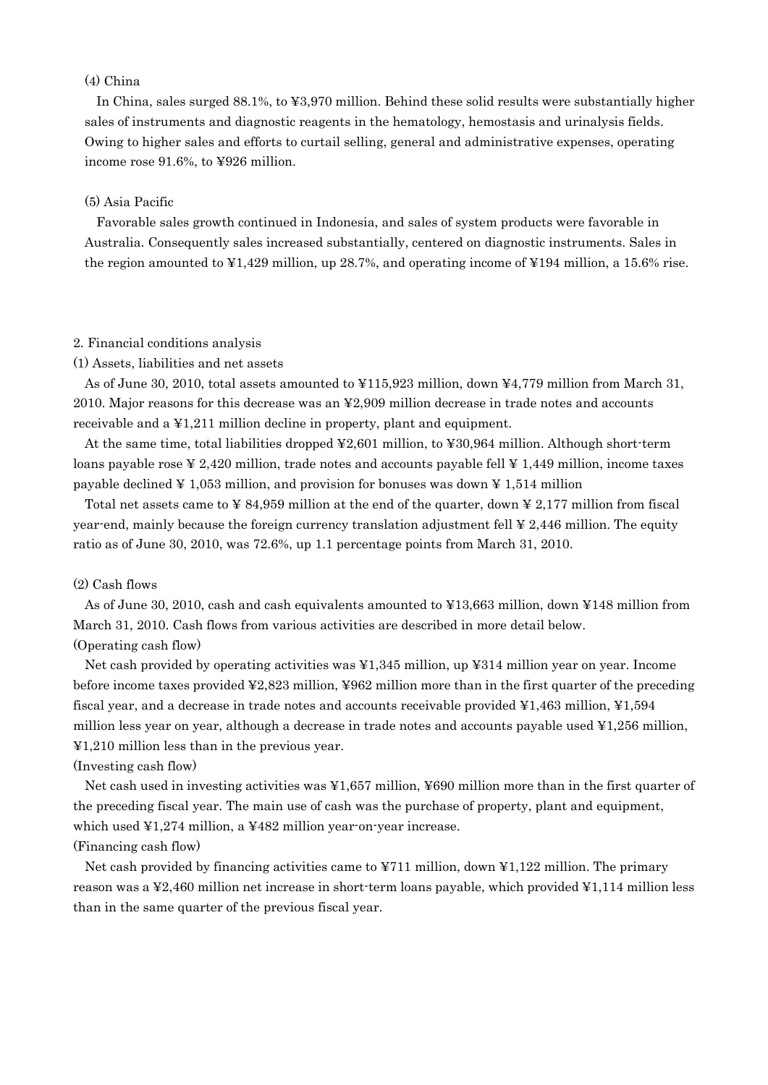## (4) China

In China, sales surged 88.1%, to ¥3,970 million. Behind these solid results were substantially higher sales of instruments and diagnostic reagents in the hematology, hemostasis and urinalysis fields. Owing to higher sales and efforts to curtail selling, general and administrative expenses, operating income rose 91.6%, to ¥926 million.

### (5) Asia Pacific

Favorable sales growth continued in Indonesia, and sales of system products were favorable in Australia. Consequently sales increased substantially, centered on diagnostic instruments. Sales in the region amounted to  $\text{\textsterling}1,429$  million, up 28.7%, and operating income of  $\text{\textsterling}194$  million, a 15.6% rise.

#### 2. Financial conditions analysis

#### (1) Assets, liabilities and net assets

As of June 30, 2010, total assets amounted to ¥115,923 million, down ¥4,779 million from March 31, 2010. Major reasons for this decrease was an ¥2,909 million decrease in trade notes and accounts receivable and a ¥1,211 million decline in property, plant and equipment.

At the same time, total liabilities dropped ¥2,601 million, to ¥30,964 million. Although short-term loans payable rose  $\yen$  2,420 million, trade notes and accounts payable fell  $\yen$  1,449 million, income taxes payable declined  $\frac{1}{4}$  1,053 million, and provision for bonuses was down  $\frac{1}{4}$  1,514 million

Total net assets came to  $\angle$  84,959 million at the end of the quarter, down  $\angle$  2,177 million from fiscal year-end, mainly because the foreign currency translation adjustment fell ¥ 2,446 million. The equity ratio as of June 30, 2010, was 72.6%, up 1.1 percentage points from March 31, 2010.

### (2) Cash flows

As of June 30, 2010, cash and cash equivalents amounted to ¥13,663 million, down ¥148 million from March 31, 2010. Cash flows from various activities are described in more detail below. (Operating cash flow)

Net cash provided by operating activities was ¥1,345 million, up ¥314 million year on year. Income before income taxes provided ¥2,823 million, ¥962 million more than in the first quarter of the preceding fiscal year, and a decrease in trade notes and accounts receivable provided ¥1,463 million, ¥1,594 million less year on year, although a decrease in trade notes and accounts payable used ¥1,256 million, ¥1,210 million less than in the previous year.

#### (Investing cash flow)

Net cash used in investing activities was ¥1,657 million, ¥690 million more than in the first quarter of the preceding fiscal year. The main use of cash was the purchase of property, plant and equipment, which used ¥1,274 million, a ¥482 million year-on-year increase.

### (Financing cash flow)

Net cash provided by financing activities came to  $\yen 711$  million, down  $\yen 1,122$  million. The primary reason was a ¥2,460 million net increase in short-term loans payable, which provided ¥1,114 million less than in the same quarter of the previous fiscal year.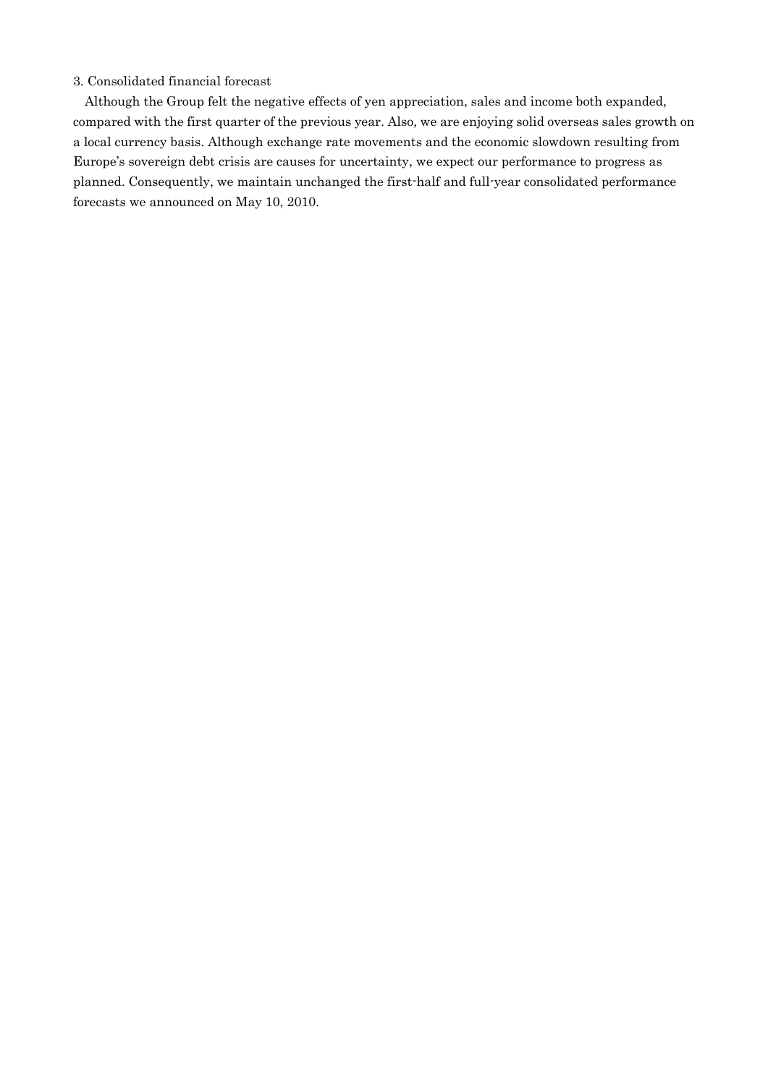## 3. Consolidated financial forecast

Although the Group felt the negative effects of yen appreciation, sales and income both expanded, compared with the first quarter of the previous year. Also, we are enjoying solid overseas sales growth on a local currency basis. Although exchange rate movements and the economic slowdown resulting from Europe's sovereign debt crisis are causes for uncertainty, we expect our performance to progress as planned. Consequently, we maintain unchanged the first-half and full-year consolidated performance forecasts we announced on May 10, 2010.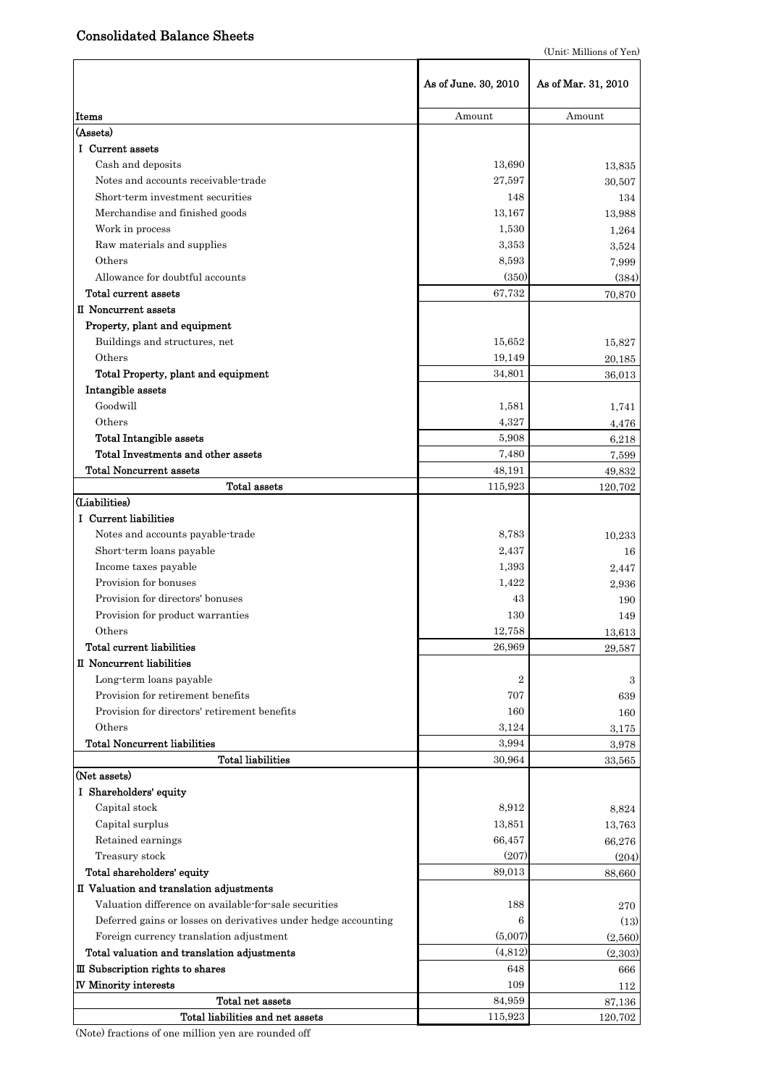# Consolidated Balance Sheets

|                                                                | As of June. 30, 2010 | As of Mar. 31, 2010 |
|----------------------------------------------------------------|----------------------|---------------------|
| Items                                                          | Amount               | Amount              |
| (Assets)                                                       |                      |                     |
| I Current assets                                               |                      |                     |
| Cash and deposits                                              | 13,690               | 13,835              |
| Notes and accounts receivable-trade                            | 27,597               | 30,507              |
| Short-term investment securities                               | 148                  | 134                 |
| Merchandise and finished goods                                 | 13,167               | 13,988              |
| Work in process                                                | 1,530                | 1,264               |
| Raw materials and supplies                                     | 3,353                | 3,524               |
| Others                                                         | 8,593                | 7,999               |
| Allowance for doubtful accounts                                | (350)                | (384)               |
| Total current assets                                           | 67,732               | 70,870              |
| II Noncurrent assets                                           |                      |                     |
| Property, plant and equipment                                  |                      |                     |
| Buildings and structures, net                                  | 15,652               | 15,827              |
| Others                                                         | 19,149               | 20,185              |
| Total Property, plant and equipment                            | 34,801               | 36,013              |
| Intangible assets                                              |                      |                     |
| Goodwill                                                       | 1,581                | 1,741               |
| Others                                                         | 4,327                | 4,476               |
| <b>Total Intangible assets</b>                                 | 5,908                | 6,218               |
| Total Investments and other assets                             | 7,480                | 7,599               |
| <b>Total Noncurrent assets</b>                                 | 48,191               | 49,832              |
| Total assets                                                   | 115,923              | 120,702             |
| (Liabilities)                                                  |                      |                     |
| I Current liabilities                                          |                      |                     |
| Notes and accounts payable-trade                               | 8,783                | 10,233              |
| Short-term loans payable                                       | 2,437                | 16                  |
| Income taxes payable                                           | 1,393                | 2,447               |
| Provision for bonuses                                          | 1.422                | 2,936               |
| Provision for directors' bonuses                               | 43                   | 190                 |
| Provision for product warranties                               | 130                  | 149                 |
| Others                                                         | 12,758               | 13,613              |
| Total current liabilities                                      | 26,969               | 29,587              |
| II Noncurrent liabilities                                      |                      |                     |
| Long-term loans payable                                        | $\overline{2}$       | 3                   |
| Provision for retirement benefits                              | 707                  | 639                 |
| Provision for directors' retirement benefits                   | 160                  | 160                 |
| Others                                                         | 3,124                | 3,175               |
| <b>Total Noncurrent liabilities</b>                            | 3,994                | 3,978               |
| <b>Total liabilities</b>                                       | 30,964               | 33,565              |
| (Net assets)                                                   |                      |                     |
| I Shareholders' equity                                         |                      |                     |
| Capital stock                                                  | 8,912                | 8,824               |
| Capital surplus                                                | 13,851               | 13,763              |
| Retained earnings                                              | 66,457               | 66,276              |
| Treasury stock                                                 | (207)                | (204)               |
| Total shareholders' equity                                     | 89,013               | 88,660              |
| II Valuation and translation adjustments                       |                      |                     |
| Valuation difference on available for sale securities          | 188                  | 270                 |
| Deferred gains or losses on derivatives under hedge accounting | 6                    | (13)                |
| Foreign currency translation adjustment                        | (5,007)              | (2,560)             |
| Total valuation and translation adjustments                    | (4,812)              | (2,303)             |
| III Subscription rights to shares                              | 648                  | 666                 |
| <b>IV Minority interests</b>                                   | 109                  | 112                 |
| Total net assets                                               | 84,959               | 87,136              |
| Total liabilities and net assets                               | 115,923              | 120,702             |

(Note) fractions of one million yen are rounded off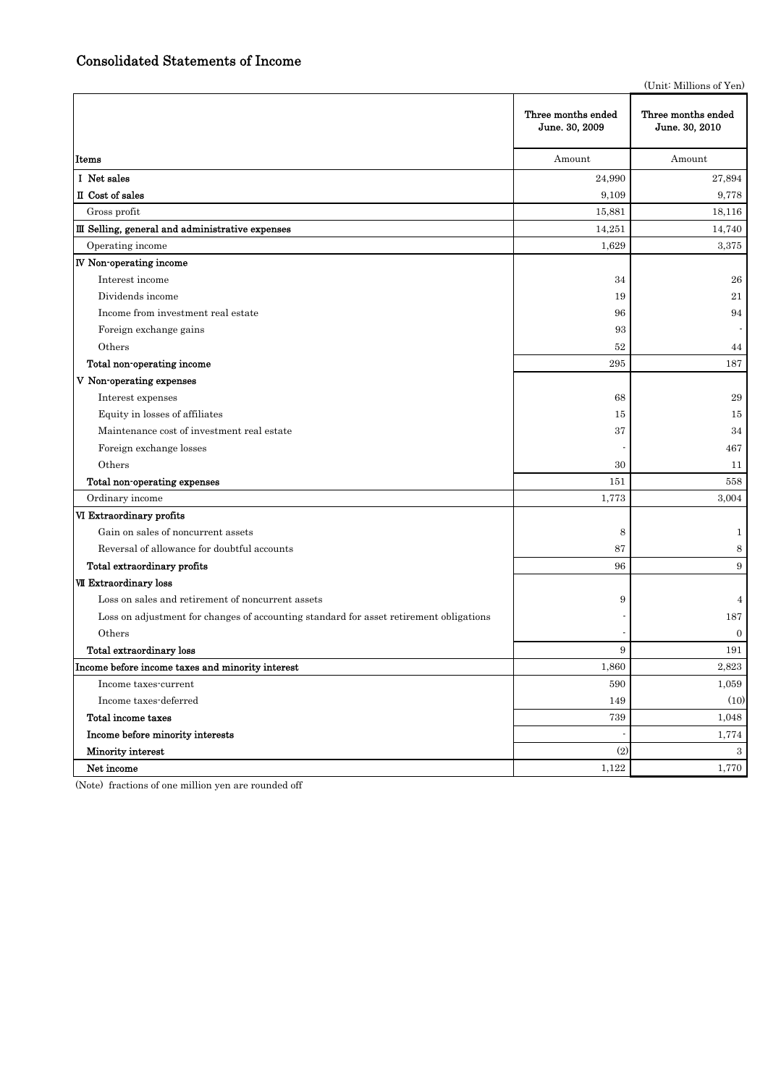(Unit: Millions of Yen)

|                                                                                        | Three months ended<br>June. 30, 2009 | Three months ended<br>June. 30, 2010 |
|----------------------------------------------------------------------------------------|--------------------------------------|--------------------------------------|
| Items                                                                                  | Amount                               | Amount                               |
| I Net sales                                                                            | 24,990                               | 27,894                               |
| II Cost of sales                                                                       | 9,109                                | 9,778                                |
| Gross profit                                                                           | 15,881                               | 18,116                               |
| III Selling, general and administrative expenses                                       | 14,251                               | 14,740                               |
| Operating income                                                                       | 1,629                                | 3,375                                |
| <b>IV</b> Non-operating income                                                         |                                      |                                      |
| Interest income                                                                        | 34                                   | 26                                   |
| Dividends income                                                                       | 19                                   | 21                                   |
| Income from investment real estate                                                     | 96                                   | 94                                   |
| Foreign exchange gains                                                                 | 93                                   |                                      |
| Others                                                                                 | 52                                   | 44                                   |
| Total non-operating income                                                             | 295                                  | 187                                  |
| V Non-operating expenses                                                               |                                      |                                      |
| Interest expenses                                                                      | 68                                   | 29                                   |
| Equity in losses of affiliates                                                         | 15                                   | 15                                   |
| Maintenance cost of investment real estate                                             | 37                                   | 34                                   |
| Foreign exchange losses                                                                |                                      | 467                                  |
| Others                                                                                 | 30                                   | 11                                   |
| Total non-operating expenses                                                           | 151                                  | 558                                  |
| Ordinary income                                                                        | 1,773                                | 3,004                                |
| VI Extraordinary profits                                                               |                                      |                                      |
| Gain on sales of noncurrent assets                                                     | 8                                    | $\mathbf{1}$                         |
| Reversal of allowance for doubtful accounts                                            | 87                                   | 8                                    |
| Total extraordinary profits                                                            | 96                                   | 9                                    |
| <b>VII Extraordinary loss</b>                                                          |                                      |                                      |
| Loss on sales and retirement of noncurrent assets                                      | 9                                    | $\overline{4}$                       |
| Loss on adjustment for changes of accounting standard for asset retirement obligations |                                      | 187                                  |
| Others                                                                                 |                                      | $\boldsymbol{0}$                     |
| Total extraordinary loss                                                               | 9                                    | 191                                  |
| Income before income taxes and minority interest                                       | 1,860                                | 2,823                                |
| Income taxes-current                                                                   | 590                                  | 1,059                                |
| Income taxes-deferred                                                                  | 149                                  | (10)                                 |
| Total income taxes                                                                     | 739                                  | 1,048                                |
| Income before minority interests                                                       |                                      | 1,774                                |
| Minority interest                                                                      | (2)                                  | $\mathbf{3}$                         |
| Net income                                                                             | 1,122                                | 1,770                                |

(Note) fractions of one million yen are rounded off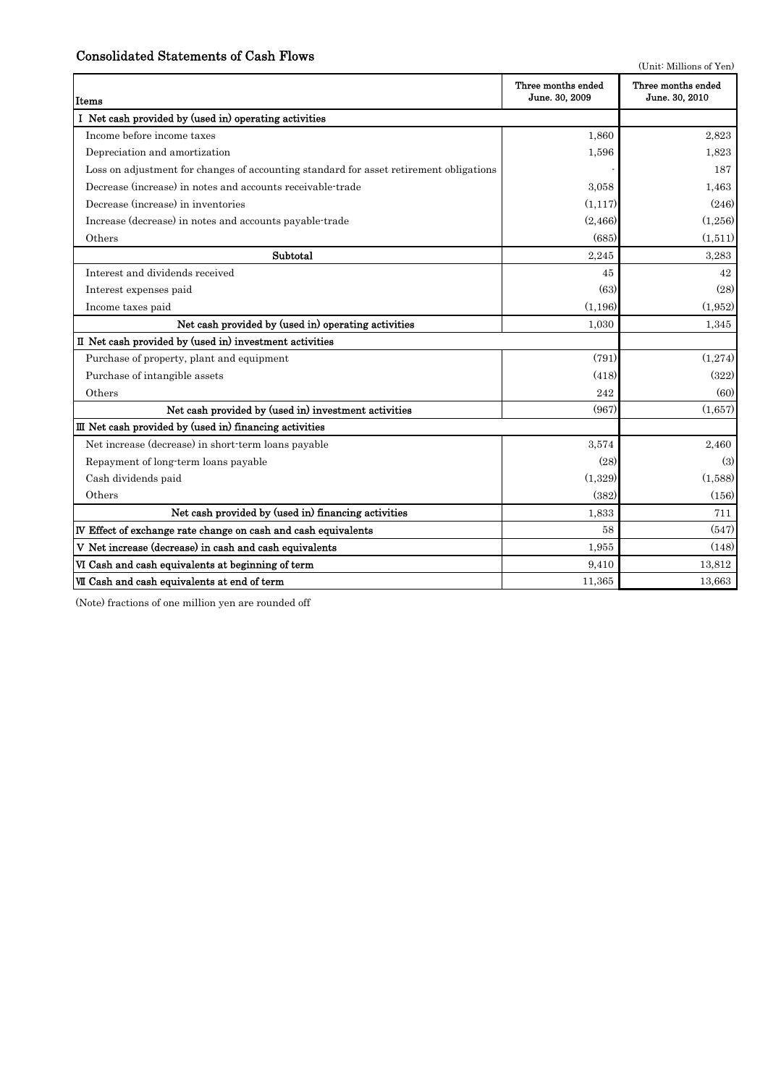## Consolidated Statements of Cash Flows

|  | (Unit: Millions of Yen) |  |
|--|-------------------------|--|
|  |                         |  |

| Items                                                                                  | Three months ended<br>June. 30, 2009 | Three months ended<br>June. 30, 2010 |
|----------------------------------------------------------------------------------------|--------------------------------------|--------------------------------------|
| I Net cash provided by (used in) operating activities                                  |                                      |                                      |
| Income before income taxes                                                             | 1,860                                | 2,823                                |
| Depreciation and amortization                                                          | 1,596                                | 1,823                                |
| Loss on adjustment for changes of accounting standard for asset retirement obligations |                                      | 187                                  |
| Decrease (increase) in notes and accounts receivable-trade                             | 3.058                                | 1,463                                |
| Decrease (increase) in inventories                                                     | (1, 117)                             | (246)                                |
| Increase (decrease) in notes and accounts payable-trade                                | (2,466)                              | (1,256)                              |
| Others                                                                                 | (685)                                | (1,511)                              |
| Subtotal                                                                               | 2,245                                | 3,283                                |
| Interest and dividends received                                                        | 45                                   | 42                                   |
| Interest expenses paid                                                                 | (63)                                 | (28)                                 |
| Income taxes paid                                                                      | (1,196)                              | (1,952)                              |
| Net cash provided by (used in) operating activities                                    | 1,030                                | 1,345                                |
| II Net cash provided by (used in) investment activities                                |                                      |                                      |
| Purchase of property, plant and equipment                                              | (791)                                | (1,274)                              |
| Purchase of intangible assets                                                          | (418)                                | (322)                                |
| Others                                                                                 | 242                                  | (60)                                 |
| Net cash provided by (used in) investment activities                                   | (967)                                | (1,657)                              |
| III Net cash provided by (used in) financing activities                                |                                      |                                      |
| Net increase (decrease) in short-term loans payable                                    | 3.574                                | 2,460                                |
| Repayment of long-term loans payable                                                   | (28)                                 | (3)                                  |
| Cash dividends paid                                                                    | (1,329)                              | (1,588)                              |
| Others                                                                                 | (382)                                | (156)                                |
| Net cash provided by (used in) financing activities                                    | 1,833                                | 711                                  |
| IV Effect of exchange rate change on cash and cash equivalents                         | 58                                   | (547)                                |
| V Net increase (decrease) in cash and cash equivalents                                 | 1,955                                | (148)                                |
| VI Cash and cash equivalents at beginning of term                                      | 9,410                                | 13,812                               |
| VII Cash and cash equivalents at end of term                                           | 11,365                               | 13,663                               |

(Note) fractions of one million yen are rounded off